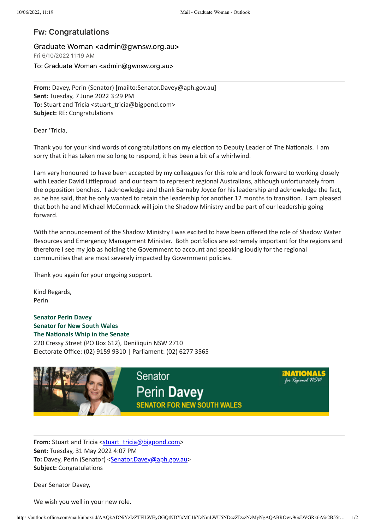## Fw: Congratulations

Graduate Woman <admin@gwnsw.org.au> Fri 6/10/2022 11:19 AM To: Graduate Woman <admin@gwnsw.org.au>

**From:** Davey, Perin (Senator) [mailto:Senator.Davey@aph.gov.au] **Sent:** Tuesday, 7 June 2022 3:29 PM **To:** Stuart and Tricia <stuart\_tricia@bigpond.com> **Subject:** RE: Congratulations

Dear 'Tricia,

Thank you for your kind words of congratulations on my election to Deputy Leader of The Nationals. I am sorry that it has taken me so long to respond, it has been a bit of a whirlwind.

I am very honoured to have been accepted by my colleagues for this role and look forward to working closely with Leader David Littleproud and our team to represent regional Australians, although unfortunately from the opposition benches. I acknowledge and thank Barnaby Joyce for his leadership and acknowledge the fact, as he has said, that he only wanted to retain the leadership for another 12 months to transition. I am pleased that both he and Michael McCormack will join the Shadow Ministry and be part of our leadership going forward.

With the announcement of the Shadow Ministry I was excited to have been offered the role of Shadow Water Resources and Emergency Management Minister. Both portfolios are extremely important for the regions and therefore I see my job as holding the Government to account and speaking loudly for the regional communities that are most severely impacted by Government policies.

Thank you again for your ongoing support.

Kind Regards, Perin

**Senator Perin Davey Senator for New South Wales The Nationals Whip in the Senate** 220 Cressy Street (PO Box 612), Deniliquin NSW 2710 Electorate Office: (02) 9159 9310 | Parliament: (02) 6277 3565



**From:** Stuart and Tricia [<stuart\\_tricia@bigpond.com>](mailto:stuart_tricia@bigpond.com) **Sent:** Tuesday, 31 May 2022 4:07 PM **To:** Davey, Perin (Senator) <[Senator.Davey@aph.gov.au](mailto:Senator.Davey@aph.gov.au)> **Subject:** Congratulations

Dear Senator Davey,

We wish you well in your new role.